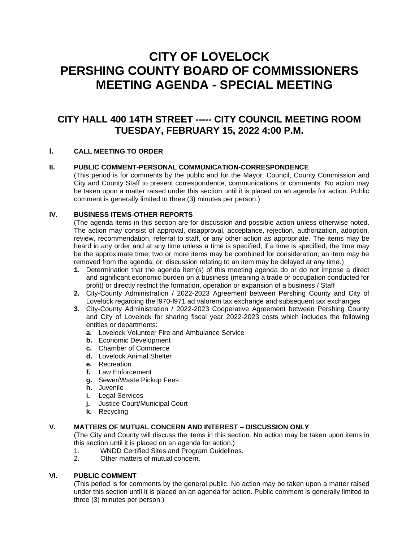# **CITY OF LOVELOCK PERSHING COUNTY BOARD OF COMMISSIONERS MEETING AGENDA - SPECIAL MEETING**

# **CITY HALL 400 14TH STREET ----- CITY COUNCIL MEETING ROOM TUESDAY, FEBRUARY 15, 2022 4:00 P.M.**

# **I. CALL MEETING TO ORDER**

# **II. PUBLIC COMMENT-PERSONAL COMMUNICATION-CORRESPONDENCE**

(This period is for comments by the public and for the Mayor, Council, County Commission and City and County Staff to present correspondence, communications or comments. No action may be taken upon a matter raised under this section until it is placed on an agenda for action. Public comment is generally limited to three (3) minutes per person.)

# **IV. BUSINESS ITEMS-OTHER REPORTS**

(The agenda items in this section are for discussion and possible action unless otherwise noted. The action may consist of approval, disapproval, acceptance, rejection, authorization, adoption, review, recommendation, referral to staff, or any other action as appropriate. The items may be heard in any order and at any time unless a time is specified; if a time is specified, the time may be the approximate time; two or more items may be combined for consideration; an item may be removed from the agenda; or, discussion relating to an item may be delayed at any time.)

- **1.** Determination that the agenda item(s) of this meeting agenda do or do not impose a direct and significant economic burden on a business (meaning a trade or occupation conducted for profit) or directly restrict the formation, operation or expansion of a business / Staff
- **2.** City-County Administration / 2022-2023 Agreement between Pershing County and City of Lovelock regarding the l970-l971 ad valorem tax exchange and subsequent tax exchanges
- **3.** City-County Administration / 2022-2023 Cooperative Agreement between Pershing County and City of Lovelock for sharing fiscal year 2022-2023 costs which includes the following entities or departments:
	- **a.** Lovelock Volunteer Fire and Ambulance Service
	- **b.** Economic Development
	- **c.** Chamber of Commerce
	- **d.** Lovelock Animal Shelter
	- **e.** Recreation
	- **f.** Law Enforcement
	- **g.** Sewer/Waste Pickup Fees
	- **h.** Juvenile
	- **i.** Legal Services
	- **j.** Justice Court/Municipal Court
	- **k.** Recycling

#### **V. MATTERS OF MUTUAL CONCERN AND INTEREST – DISCUSSION ONLY**

(The City and County will discuss the items in this section. No action may be taken upon items in this section until it is placed on an agenda for action.)

- 1. WNDD Certified Sites and Program Guidelines.
- 2. Other matters of mutual concern.

#### **VI. PUBLIC COMMENT**

(This period is for comments by the general public. No action may be taken upon a matter raised under this section until it is placed on an agenda for action. Public comment is generally limited to three (3) minutes per person.)